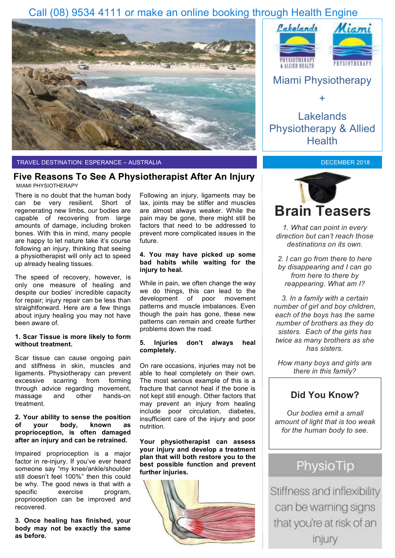## Call (08) 9534 4111 or make an online booking through Health Engine



#### TRAVEL DESTINATION: ESPERANCE – AUSTRALIA

### **Five Reasons To See A Physiotherapist After An Injury** MIAMI PHYSIOTHERAPY

There is no doubt that the human body can be very resilient. Short of regenerating new limbs, our bodies are capable of recovering from large amounts of damage, including broken bones. With this in mind, many people are happy to let nature take it's course following an injury, thinking that seeing a physiotherapist will only act to speed up already healing tissues.

The speed of recovery, however, is only one measure of healing and despite our bodies' incredible capacity for repair; injury repair can be less than straightforward. Here are a few things about injury healing you may not have been aware of.

### **1. Scar Tissue is more likely to form without treatment.**

Scar tissue can cause ongoing pain and stiffness in skin, muscles and ligaments. Physiotherapy can prevent excessive scarring from forming through advice regarding movement, massage and other hands-on treatment.

### **2. Your ability to sense the position of your body, known as proprioception, is often damaged after an injury and can be retrained.**

Impaired proprioception is a major factor in re-injury. If you've ever heard someone say "my knee/ankle/shoulder still doesn't feel 100%" then this could be why. The good news is that with a specific exercise program. specific exercise program, proprioception can be improved and recovered.

**3. Once healing has finished, your body may not be exactly the same as before.**

Following an injury, ligaments may be lax, joints may be stiffer and muscles are almost always weaker. While the pain may be gone, there might still be factors that need to be addressed to prevent more complicated issues in the future.

#### **4. You may have picked up some bad habits while waiting for the injury to heal.**

While in pain, we often change the way we do things, this can lead to the development of poor movement patterns and muscle imbalances. Even though the pain has gone, these new patterns can remain and create further problems down the road.

### **5. Injuries don't always heal completely.**

On rare occasions, injuries may not be able to heal completely on their own. The most serious example of this is a fracture that cannot heal if the bone is not kept still enough. Other factors that may prevent an injury from healing include poor circulation, diabetes, insufficient care of the injury and poor nutrition.

**Your physiotherapist can assess your injury and develop a treatment plan that will both restore you to the best possible function and prevent further injuries.** 







Lakelands Physiotherapy & Allied **Health** 

### DECEMBER 2018



*1. What can point in every direction but can't reach those destinations on its own.*

*2. I can go from there to here by disappearing and I can go from here to there by reappearing. What am I?*

*3. In a family with a certain number of girl and boy children, each of the boys has the same number of brothers as they do sisters. Each of the girls has twice as many brothers as she has sisters.* 

*How many boys and girls are there in this family?*

### **Did You Know?**

*Our bodies emit a small amount of light that is too weak for the human body to see.*

# PhysioTip

Stiffness and inflexibility can be warning signs that you're at risk of an injury